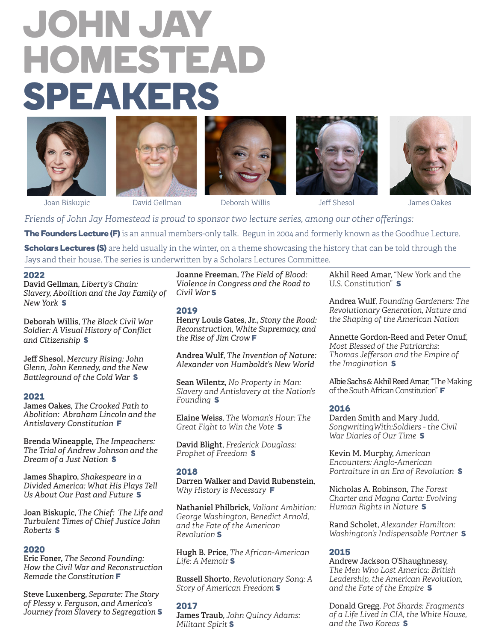# JOHN JAY HOMESTEAD SPEAKERS











Joan Biskupic David Gellman Deborah Willis Jeff Shesol James Oakes

*Friends of John Jay Homestead is proud to sponsor two lecture series, among our other offerings:*

The Founders Lecture (F) is an annual members-only talk. Begun in 2004 and formerly known as the Goodhue Lecture.

Scholars Lectures (S) are held usually in the winter, on a theme showcasing the history that can be told through the Jays and their house. The series is underwritten by a Scholars Lectures Committee.

# 2022

**David Gellman,** *Liberty's Chain: Slavery, Abolition and the Jay Family of New York* S

**Deborah Willis,** *The Black Civil War Soldier: A Visual History of Conflict and Citizenship* S

**Jeff Shesol,** *Mercury Rising: John Glenn, John Kennedy, and the New Battleground of the Cold War* S

# 2021

**James Oakes,** *The Crooked Path to Abolition: Abraham Lincoln and the Antislavery Constitution* F

**Brenda Wineapple,** *The Impeachers: The Trial of Andrew Johnson and the Dream of a Just Nation* S

**James Shapiro,** *Shakespeare in a Divided America: What His Plays Tell Us About Our Past and Future* S

**Joan Biskupic,** *The Chief: The Life and Turbulent Times of Chief Justice John Roberts* S

# 2020

**Eric Foner,** *The Second Founding: How the Civil War and Reconstruction Remade the Constitution* F

**Steve Luxenberg,** *Separate: The Story of Plessy v. Ferguson, and America's Journey from Slavery to Segregation* S

**Joanne Freeman,** *The Field of Blood: Violence in Congress and the Road to Civil War* S

## 2019

**Henry Louis Gates, Jr.,** *Stony the Road: Reconstruction, White Supremacy, and the Rise of Jim Crow* F

**Andrea Wulf**, *The Invention of Nature: Alexander von Humboldt's New World*

**Sean Wilentz**, *No Property in Man: Slavery and Antislavery at the Nation's Founding* S

**Elaine Weiss**, *The Woman's Hour: The Great Fight to Win the Vote* S

**David Blight**, *Frederick Douglass: Prophet of Freedom* S

# 2018

**Darren Walker and David Rubenstein**, *Why History is Necessary* F

**Nathaniel Philbrick**, *Valiant Ambition: George Washington, Benedict Arnold, and the Fate of the American Revolution* S

**Hugh B. Price**, *The African-American Life: A Memoir* S

**Russell Shorto**, *Revolutionary Song: A Story of American Freedom* S

# 2017

**James Traub**, *John Quincy Adams: Militant Spirit* S

Akhil Reed Amar, "New York and the U.S. Constitution" S

Andrea Wulf, *Founding Gardeners: The Revolutionary Generation, Nature and the Shaping of the American Nation*

Annette Gordon-Reed and Peter Onuf, *Most Blessed of the Patriarchs: Thomas Jefferson and the Empire of the Imagination* S

Albie Sachs & Akhil Reed Amar, "The Making of the South African Constitution" F

# 2016

Darden Smith and Mary Judd, *SongwritingWith:Soldiers - the Civil War Diaries of Our Time* S

Kevin M. Murphy, *American Encounters: Anglo-American Portraiture in an Era of Revolution* S

Nicholas A. Robinson, *The Forest Charter and Magna Carta: Evolving Human Rights in Nature* S

Rand Scholet, *Alexander Hamilton: Washington's Indispensable Partner* S

# 2015

Andrew Jackson O'Shaughnessy, *The Men Who Lost America: British Leadership, the American Revolution, and the Fate of the Empire* S

Donald Gregg, *Pot Shards: Fragments of a Life Lived in CIA, the White House, and the Two Koreas* S